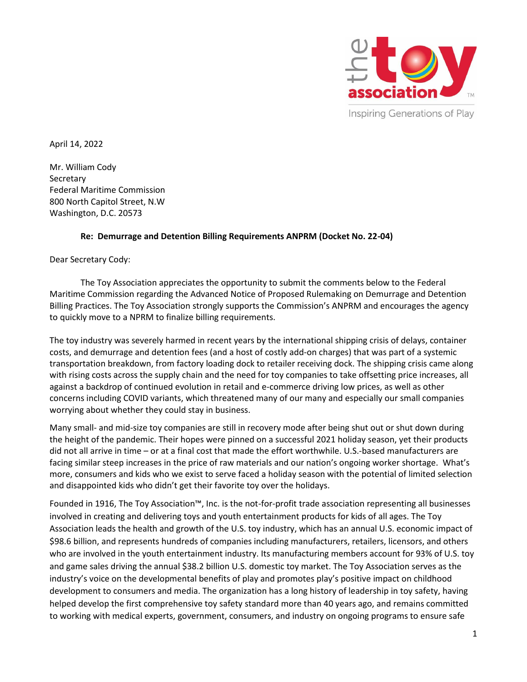

April 14, 2022

Mr. William Cody **Secretary** Federal Maritime Commission 800 North Capitol Street, N.W Washington, D.C. 20573

#### **Re: Demurrage and Detention Billing Requirements ANPRM (Docket No. 22-04)**

Dear Secretary Cody:

The Toy Association appreciates the opportunity to submit the comments below to the Federal Maritime Commission regarding the Advanced Notice of Proposed Rulemaking on Demurrage and Detention Billing Practices. The Toy Association strongly supports the Commission's ANPRM and encourages the agency to quickly move to a NPRM to finalize billing requirements.

The toy industry was severely harmed in recent years by the international shipping crisis of delays, container costs, and demurrage and detention fees (and a host of costly add-on charges) that was part of a systemic transportation breakdown, from factory loading dock to retailer receiving dock. The shipping crisis came along with rising costs across the supply chain and the need for toy companies to take offsetting price increases, all against a backdrop of continued evolution in retail and e-commerce driving low prices, as well as other concerns including COVID variants, which threatened many of our many and especially our small companies worrying about whether they could stay in business.

Many small- and mid-size toy companies are still in recovery mode after being shut out or shut down during the height of the pandemic. Their hopes were pinned on a successful 2021 holiday season, yet their products did not all arrive in time – or at a final cost that made the effort worthwhile. U.S.-based manufacturers are facing similar steep increases in the price of raw materials and our nation's ongoing worker shortage. What's more, consumers and kids who we exist to serve faced a holiday season with the potential of limited selection and disappointed kids who didn't get their favorite toy over the holidays.

Founded in 1916, The Toy Association™, Inc. is the not-for-profit trade association representing all businesses involved in creating and delivering toys and youth entertainment products for kids of all ages. The Toy Association leads the health and growth of the U.S. toy industry, which has an annual U.S. economic impact of \$98.6 billion, and represents hundreds of companies including manufacturers, retailers, licensors, and others who are involved in the youth entertainment industry. Its manufacturing members account for 93% of U.S. toy and game sales driving the annual \$38.2 billion U.S. domestic toy market. The Toy Association serves as the industry's voice on the developmental benefits of play and promotes play's positive impact on childhood development to consumers and media. The organization has a long history of leadership in toy safety, having helped develop the first comprehensive toy safety standard more than 40 years ago, and remains committed to working with medical experts, government, consumers, and industry on ongoing programs to ensure safe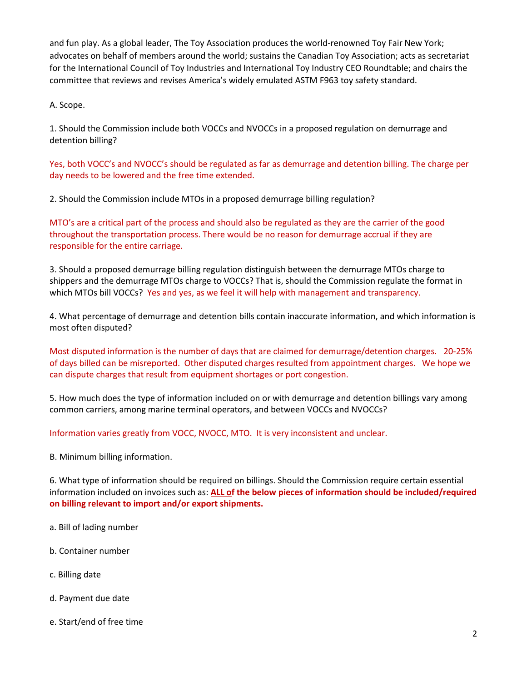and fun play. As a global leader, The Toy Association produces the world-renowned Toy Fair New York; advocates on behalf of members around the world; sustains the Canadian Toy Association; acts as secretariat for the International Council of Toy Industries and International Toy Industry CEO Roundtable; and chairs the committee that reviews and revises America's widely emulated ASTM F963 toy safety standard.

A. Scope.

1. Should the Commission include both VOCCs and NVOCCs in a proposed regulation on demurrage and detention billing?

Yes, both VOCC's and NVOCC's should be regulated as far as demurrage and detention billing. The charge per day needs to be lowered and the free time extended.

2. Should the Commission include MTOs in a proposed demurrage billing regulation?

MTO's are a critical part of the process and should also be regulated as they are the carrier of the good throughout the transportation process. There would be no reason for demurrage accrual if they are responsible for the entire carriage.

3. Should a proposed demurrage billing regulation distinguish between the demurrage MTOs charge to shippers and the demurrage MTOs charge to VOCCs? That is, should the Commission regulate the format in which MTOs bill VOCCs? Yes and yes, as we feel it will help with management and transparency.

4. What percentage of demurrage and detention bills contain inaccurate information, and which information is most often disputed?

Most disputed information is the number of days that are claimed for demurrage/detention charges. 20-25% of days billed can be misreported. Other disputed charges resulted from appointment charges. We hope we can dispute charges that result from equipment shortages or port congestion.

5. How much does the type of information included on or with demurrage and detention billings vary among common carriers, among marine terminal operators, and between VOCCs and NVOCCs?

Information varies greatly from VOCC, NVOCC, MTO. It is very inconsistent and unclear.

B. Minimum billing information.

6. What type of information should be required on billings. Should the Commission require certain essential information included on invoices such as: **ALL of the below pieces of information should be included/required on billing relevant to import and/or export shipments.**

- a. Bill of lading number
- b. Container number
- c. Billing date
- d. Payment due date
- e. Start/end of free time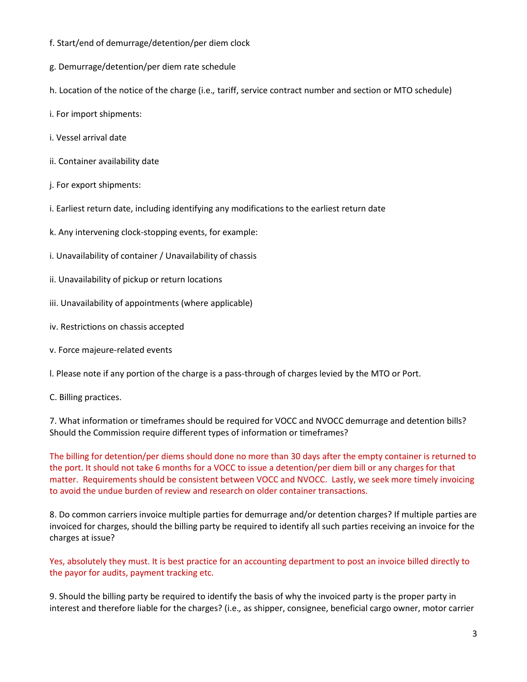- f. Start/end of demurrage/detention/per diem clock
- g. Demurrage/detention/per diem rate schedule
- h. Location of the notice of the charge (i.e.*,* tariff, service contract number and section or MTO schedule)
- i. For import shipments:
- i. Vessel arrival date
- ii. Container availability date
- j. For export shipments:
- i. Earliest return date, including identifying any modifications to the earliest return date
- k. Any intervening clock-stopping events, for example:
- i. Unavailability of container / Unavailability of chassis
- ii. Unavailability of pickup or return locations
- iii. Unavailability of appointments (where applicable)
- iv. Restrictions on chassis accepted
- v. Force majeure-related events

l. Please note if any portion of the charge is a pass-through of charges levied by the MTO or Port.

C. Billing practices.

7. What information or timeframes should be required for VOCC and NVOCC demurrage and detention bills? Should the Commission require different types of information or timeframes?

The billing for detention/per diems should done no more than 30 days after the empty container is returned to the port. It should not take 6 months for a VOCC to issue a detention/per diem bill or any charges for that matter. Requirements should be consistent between VOCC and NVOCC. Lastly, we seek more timely invoicing to avoid the undue burden of review and research on older container transactions.

8. Do common carriers invoice multiple parties for demurrage and/or detention charges? If multiple parties are invoiced for charges, should the billing party be required to identify all such parties receiving an invoice for the charges at issue?

Yes, absolutely they must. It is best practice for an accounting department to post an invoice billed directly to the payor for audits, payment tracking etc.

9. Should the billing party be required to identify the basis of why the invoiced party is the proper party in interest and therefore liable for the charges? (i.e.*,* as shipper, consignee, beneficial cargo owner, motor carrier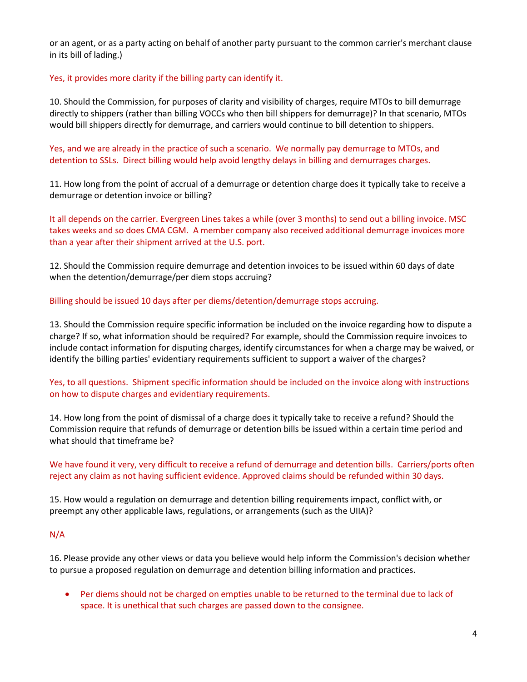or an agent, or as a party acting on behalf of another party pursuant to the common carrier's merchant clause in its bill of lading.)

#### Yes, it provides more clarity if the billing party can identify it.

10. Should the Commission, for purposes of clarity and visibility of charges, require MTOs to bill demurrage directly to shippers (rather than billing VOCCs who then bill shippers for demurrage)? In that scenario, MTOs would bill shippers directly for demurrage, and carriers would continue to bill detention to shippers.

Yes, and we are already in the practice of such a scenario. We normally pay demurrage to MTOs, and detention to SSLs. Direct billing would help avoid lengthy delays in billing and demurrages charges.

11. How long from the point of accrual of a demurrage or detention charge does it typically take to receive a demurrage or detention invoice or billing?

It all depends on the carrier. Evergreen Lines takes a while (over 3 months) to send out a billing invoice. MSC takes weeks and so does CMA CGM. A member company also received additional demurrage invoices more than a year after their shipment arrived at the U.S. port.

12. Should the Commission require demurrage and detention invoices to be issued within 60 days of date when the detention/demurrage/per diem stops accruing?

#### Billing should be issued 10 days after per diems/detention/demurrage stops accruing.

13. Should the Commission require specific information be included on the invoice regarding how to dispute a charge? If so, what information should be required? For example, should the Commission require invoices to include contact information for disputing charges, identify circumstances for when a charge may be waived, or identify the billing parties' evidentiary requirements sufficient to support a waiver of the charges?

# Yes, to all questions. Shipment specific information should be included on the invoice along with instructions on how to dispute charges and evidentiary requirements.

14. How long from the point of dismissal of a charge does it typically take to receive a refund? Should the Commission require that refunds of demurrage or detention bills be issued within a certain time period and what should that timeframe be?

# We have found it very, very difficult to receive a refund of demurrage and detention bills. Carriers/ports often reject any claim as not having sufficient evidence. Approved claims should be refunded within 30 days.

15. How would a regulation on demurrage and detention billing requirements impact, conflict with, or preempt any other applicable laws, regulations, or arrangements (such as the UIIA)?

# N/A

16. Please provide any other views or data you believe would help inform the Commission's decision whether to pursue a proposed regulation on demurrage and detention billing information and practices.

• Per diems should not be charged on empties unable to be returned to the terminal due to lack of space. It is unethical that such charges are passed down to the consignee.